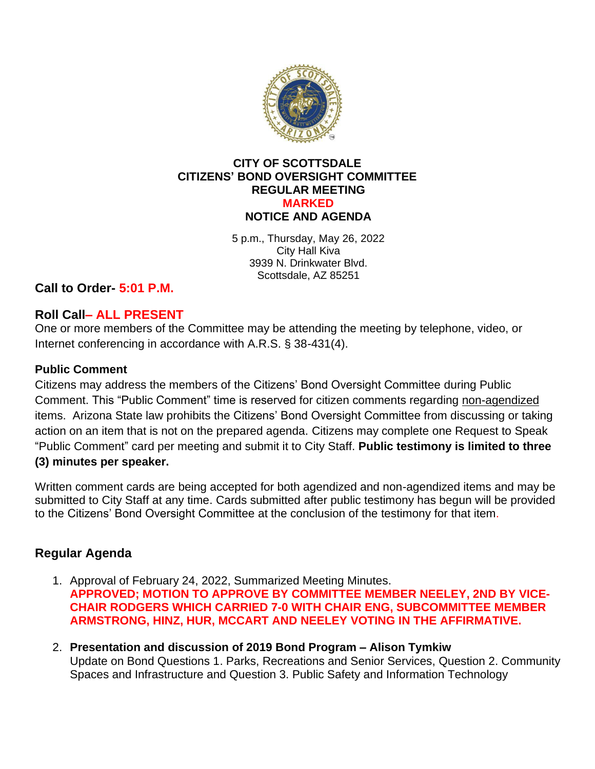

#### **CITY OF SCOTTSDALE CITIZENS' BOND OVERSIGHT COMMITTEE REGULAR MEETING MARKED NOTICE AND AGENDA**

5 p.m., Thursday, May 26, 2022 City Hall Kiva 3939 N. Drinkwater Blvd. Scottsdale, AZ 85251

**Call to Order- 5:01 P.M.**

# **Roll Call– ALL PRESENT**

One or more members of the Committee may be attending the meeting by telephone, video, or Internet conferencing in accordance with A.R.S. § 38-431(4).

### **Public Comment**

Citizens may address the members of the Citizens' Bond Oversight Committee during Public Comment. This "Public Comment" time is reserved for citizen comments regarding non-agendized items. Arizona State law prohibits the Citizens' Bond Oversight Committee from discussing or taking action on an item that is not on the prepared agenda. Citizens may complete one Request to Speak "Public Comment" card per meeting and submit it to City Staff. **Public testimony is limited to three (3) minutes per speaker.**

Written comment cards are being accepted for both agendized and non-agendized items and may be submitted to City Staff at any time. Cards submitted after public testimony has begun will be provided to the Citizens' Bond Oversight Committee at the conclusion of the testimony for that item.

## **Regular Agenda**

- 1. Approval of February 24, 2022, Summarized Meeting Minutes. **APPROVED; MOTION TO APPROVE BY COMMITTEE MEMBER NEELEY, 2ND BY VICE-CHAIR RODGERS WHICH CARRIED 7-0 WITH CHAIR ENG, SUBCOMMITTEE MEMBER ARMSTRONG, HINZ, HUR, MCCART AND NEELEY VOTING IN THE AFFIRMATIVE.**
- 2. **Presentation and discussion of 2019 Bond Program – Alison Tymkiw** Update on Bond Questions 1. Parks, Recreations and Senior Services, Question 2. Community Spaces and Infrastructure and Question 3. Public Safety and Information Technology